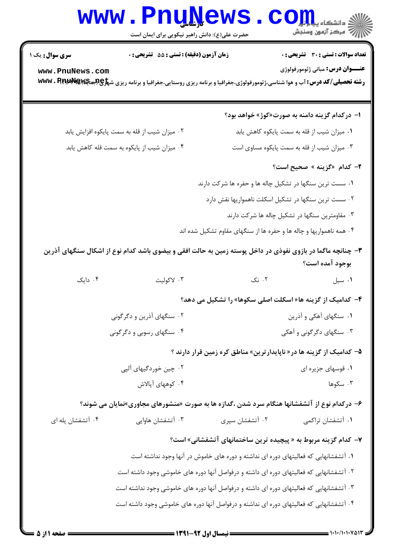## **www.PnuNews.com** ے<br>ا*للہ* مرکز آزمون وسنجش حضرت علی(ع): دانش راهبر نیکویی برای ایمان است تعداد سوالات : تستى : 30 - تشريحي : 0 **سری سوال :** یک ۱ زمان آزمون (دقيقه) : تستى : 55 ٪ تشريحي : 0 **عنـــوان درس:** مباني ژئومورفولوژي www.PnuNews.com **رشته تحصیلی/کد درس: آب و هوا شناسی،ژئومورفولوژی،جغرافیا و برنامه ریزی روستایی،جغرافیا و برنامه ریزی ش<del>پلاچ @WW</del>. RPI با WWW. P** ا– در کدام گزینه دامنه به صورت«کوژ» خواهد بود؟ ۰۱ میزان شیب از قله به سمت پایکوه کاهش یابد ۰۲ میزان شیب از قله به سمت پایکوه افزایش یابد ۰۴ میزان شیب از پایکوه به سمت قله کاهش پابد ۰۳ میزان شیب از قله به سمت پایکوه مساوی است ۲- کدام «گزینه » صحیح است؟ ۰۱ سست ترین سنگها در تشکیل چاله ها و حفره ها شرکت دارند ۲۰ سست ترین سنگها در تشکیل اسکلت ناهمواریها نقش دارد ۰۳ مقاومترین سنگها در تشکیل چاله ها شرکت دارند ۰۴ همه ناهمواریها و چاله ها و حفره ها از سنگهای مقاوم تشکیل شده اند ۳- چنانچه ماگما در بازوی نفوذی در داخل پوسته زمین به حالت افقی و بیضوی باشد کدام نوع از اشکال سنگهای آذرین بوجود آمده است؟  $5.7$ ۰۴ دایک ۰۳ لاکولیت ۰۱ سیل ۴- کدامیک از گزینه ها« اسکلت اصلی سکوها» را تشکیل می دهد؟ ۲. سنگهای آذرین و دگرگونی ۰۱ سنگهای آهکی و آذرین ۰۴ سنگهای رسوبی و دگرگونی ۰۳ سنگهای دگرگونی و آهکی ۵– کدامیک از گزینه ها در « ناپایدارترین» مناطق کره زمین قرار دارند ؟ ۰۲ چین خوردگیهای آلیی ۰۱ قوسهای جزیره ای ۴. كوههای آپالاش ۰۳ سکوها  $\cdot$ ۶– درکدام نوع از آتشفشانها هنگام سرد شدن ،گدازه ها به صورت «منشورهای مجاوری»نمایان می شوند؟ ۰۴ آتشفشان پله ای ۰۳ آتشفشان هاوایی ۰۲ آتشفشان سپری ۰۱ آتشفشان تراکمی ۷- کدام گزینه مربوط به « پیچیده ترین ساختمانهای آتشفشانی» است؟ ۱. آتشفشانهایی که فعالیتهای دوره ای نداشته و دوره های خاموش در آنها وجود نداشته است ۲ . آتشفشانهایی که فعالیتهای دوره ای داشته و درفواصل آنها دوره های خاموشی وجود داشته است ۳. آتشفشانهایی که فعالیتهای دوره ای داشته و درفواصل آنها دوره های خاموشی وجود نداشته است ۰۴ آتشفشانهایی که فعالیتهای دوره ای نداشته و درفواصل آنها دوره های خاموشی وجود داشته است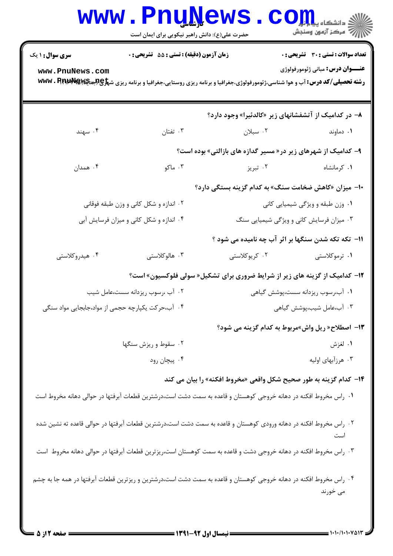|                                           | <b>www.PnuNews</b><br>حضرت علی(ع): دانش راهبر نیکویی برای ایمان است                                                                                                                             |                                                                                    | الله دانشگاه پیام در استفاه بار بار<br>الله عرکز آنههن وسنجش                            |  |
|-------------------------------------------|-------------------------------------------------------------------------------------------------------------------------------------------------------------------------------------------------|------------------------------------------------------------------------------------|-----------------------------------------------------------------------------------------|--|
| <b>سری سوال : ۱ یک</b><br>www.PnuNews.com | زمان آزمون (دقيقه) : تستى : 55 تشريحى : 0<br><b>رشته تحصیلی/کد درس: آ</b> ب و هوا شناسی،ژئومورفولوژی،جغرافیا و برنامه ریزی روستایی،جغرافیا و برنامه ریزی ش <del>پراچ (باهپایلا آی</del> www . R |                                                                                    | <b>تعداد سوالات : تستی : 30 - تشریحی : 0</b><br><b>عنـــوان درس:</b> مباني ژئومورفولوژي |  |
|                                           |                                                                                                                                                                                                 | ۸– در کدامیک از آتشفشانهای زیر «کالدئیرا» وجود دارد؟                               |                                                                                         |  |
| ۰۴ سهند                                   | تفتان $\cdot$                                                                                                                                                                                   | ۰۲ سبلان سیالان                                                                    | ۰۱ دماوند                                                                               |  |
|                                           |                                                                                                                                                                                                 | ۹- کدامیک از شهرهای زیر در«مسیر گدازه های بازالتی» بوده است؟                       |                                                                                         |  |
| ۰۴ همدان                                  | ۰۳ ماکو                                                                                                                                                                                         | ۰۲ تبریز                                                                           | ٠١ كرمانشاه                                                                             |  |
|                                           |                                                                                                                                                                                                 | •۱- میزان «کاهش ضخامت سنگ» به کدام گزینه بستگی دارد؟                               |                                                                                         |  |
|                                           | ۰۲ اندازه و شکل کانی و وزن طبقه فوقانی                                                                                                                                                          |                                                                                    | ۰۱ وزن طبقه و ویژگی شیمیایی کانی                                                        |  |
|                                           | ۰۴ اندازه و شکل کانی و میزان فرسایش آبی                                                                                                                                                         | ۰۳ میزان فرسایش کانی و ویژگی شیمیایی سنگ                                           |                                                                                         |  |
|                                           |                                                                                                                                                                                                 | 11- تکه تکه شدن سنگها بر اثر آب چه نامیده می شود ؟                                 |                                                                                         |  |
| ۰۴ هیدروکلاستی                            | ۰۳ هالوکلاستی                                                                                                                                                                                   | ۰۲ کریوکلاستی                                                                      | ۰۱ ترموکلاستی                                                                           |  |
|                                           |                                                                                                                                                                                                 | <b>۱۲</b> - کدامیک از گزینه های زیر از شرایط ضروری برای تشکیل« سولی فلوکسیون» است؟ |                                                                                         |  |
|                                           | ۰۲ آب ،رسوب ریزدانه سست،عامل شیب                                                                                                                                                                |                                                                                    | ۰۱ آب،رسوب ریزدانه سست،پوشش گیاهی                                                       |  |
|                                           | ۰۴ آب،حرکت یکپارچه حجمی از مواد،جابجایی مواد سنگی                                                                                                                                               | ۰۳ آب،عامل شیب،پوشش گیاهی                                                          |                                                                                         |  |
|                                           |                                                                                                                                                                                                 | ۱۳- اصطلاح« ریل واش»مربوط به کدام گزینه می شود؟                                    |                                                                                         |  |
|                                           | ۰۲ سقوط و ریزش سنگها                                                                                                                                                                            |                                                                                    | ۰۱ لغزش                                                                                 |  |
|                                           | ۰۴ پیچان رود                                                                                                                                                                                    |                                                                                    | ۰۳ هرزآبهای اولیه                                                                       |  |
|                                           |                                                                                                                                                                                                 | ۰۱۴ کدام گزینه به طور صحیح شکل واقعی «مخروط افکنه» را بیان می کند                  |                                                                                         |  |
|                                           | ۰۱ راس مخروط افکنه در دهانه خروجی کوهستان و قاعده به سمت دشت است،درشترین قطعات آبرفتها در حوالی دهانه مخروط است                                                                                 |                                                                                    |                                                                                         |  |
|                                           | ۰۲ راس مخروط افکنه در دهانه ورودی کوهستان و قاعده به سمت دشت است،درشترین قطعات آبرفتها در حوالی قاعده ته نشین شده                                                                               |                                                                                    | است                                                                                     |  |
|                                           | ۰۳ راس مخروط افکنه در دهانه خروجی دشت و قاعده به سمت کوهستان است،ریزترین قطعات آبرفتها در حوالی دهانه مخروط است                                                                                 |                                                                                    |                                                                                         |  |
|                                           | ۰۴ راس مخروط افکنه در دهانه خروجی کوهستان و قاعده به سمت دشت است،درشترین و ریزترین قطعات آبرفتها در همه جا به چشم                                                                               |                                                                                    | می خورند                                                                                |  |
|                                           |                                                                                                                                                                                                 |                                                                                    |                                                                                         |  |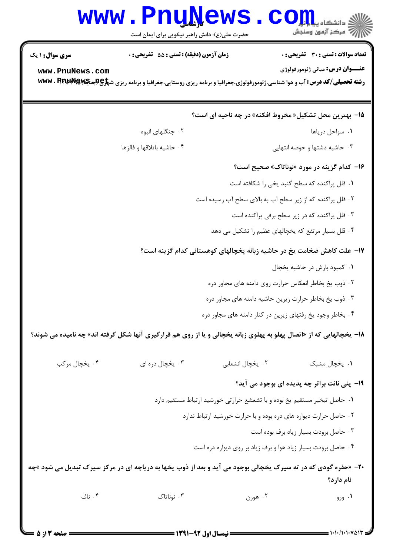## **www.PnuNews.com** ے۔<br>|||/<sup>||7</sup> مرکز آزمون وسنجش حضرت علی(ع): دانش راهبر نیکویی برای ایمان است **تعداد سوالات : تستي : 30 ٪ تشريحي : 0 سری سوال : ۱ یک** زمان آزمون (دقيقه) : تستى : 55 ٪ تشريحي : 0 **عنـــوان درس:** مباني ژئومورفولوژي www.PnuNews.com **رشته تحصیلی/کد درس: آب و هوا شناسی،ژئومورفولوژی،جغرافیا و برنامه ریزی روستایی،جغرافیا و برنامه ریزی ش<del>پلوچچیچی @wwv . Rppp &</del>** 1۵- بهترين محل تشكيل« مخروط افكنه» در چه ناحيه اي است؟ ۰۲ جنگلهای انبوه ٠١. سواحل در باها ۰۴ حاشیه باتلاقها و فالزها ۰۳ حاشیه دشتها و حوضه انتهایی ۱۶- کدام گزینه در مورد «نوناتاک» صحیح است؟ ٠١ قلل پراكنده كه سطح گنبد يخي را شكافته است ۲. قلل پراکنده که از زیر سطح آب به بالای سطح آب رسیده است ۰۳ قلل پراکنده که در زیر سطح برفی پراکنده است ۰۴ قلل بسیار مرتفع که یخچالهای عظیم را تشکیل می دهد ۱۷- علت کاهش ضخامت یخ در حاشیه زبانه یخچالهای کوهستانی کدام گزینه است؟ ۰۱ کمبود بارش در حاشیه یخچال ۰۲ ذوب یخ بخاطر انعکاس حرارت روی دامنه های مجاور دره ۰۳ ذوب یخ بخاطر حرارت زیرین حاشیه دامنه های مجاور دره ۰۴ بخاطر وجود یخ رفتهای زیرین در کنار دامنه های مجاور دره **۱۸**- یخچالهایی که از «اتصال پهلو به پهلوی زبانه یخچالی و یا از روی هم قرارگیری آنها شکل گرفته اند» چه نامیده می شوند؟ ۰۴ يخچال مرکب ۰۳ پخچال دره ای ٢. يخچال انشعابي ۰۱ يخچال مشبک **۱۹**- پنی نانت براثر چه پدیده ای بوجود می آید؟ ۰۱ حاصل تبخیر مستقیم یخ بوده و با تشعشع حرارتی خورشید ارتباط مستقیم دارد ۰۲ حاصل حرارت دیواره های دره بوده و با حرارت خورشید ارتباط ندارد ۰۳ حاصل برودت بسیار زیاد برف بوده است ۰۴ حاصل برودت بسیار زیاد هوا و برف زیاد بر روی دیواره دره است **۲۰**- «حفره گودی که در ته سیرک یخچالی بوجود می آید و بعد از ذوب یخها به دریاچه ای در مرکز سیرک تبدیل می شود »چه نام دارد؟ ۰۴ ناف ۰۳ نوناتاک ۰۲ هورن ۰۱ ورو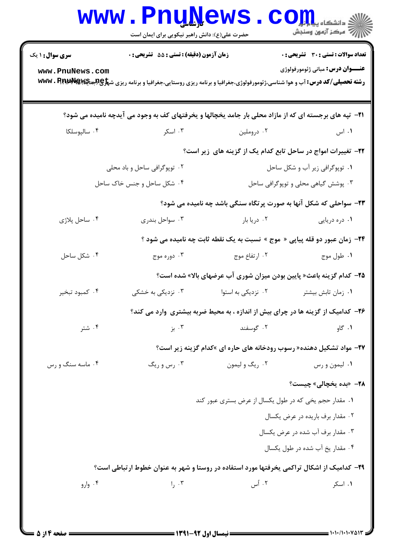|                                                                                                               | <b>WWW.PNUNEWS</b><br>حضرت علی(ع): دانش راهبر نیکویی برای ایمان است                                                                             |                                                                                    | دانشڪاه پياي <mark>ا بار</mark> ا<br>// " مرکز آزمون وسنجش |  |  |  |
|---------------------------------------------------------------------------------------------------------------|-------------------------------------------------------------------------------------------------------------------------------------------------|------------------------------------------------------------------------------------|------------------------------------------------------------|--|--|--|
| <b>سری سوال :</b> ۱ یک                                                                                        | زمان آزمون (دقیقه) : تستی : 55 آتشریحی : 0                                                                                                      |                                                                                    | <b>تعداد سوالات : تستی : 30 ٪ تشریحی : 0</b>               |  |  |  |
| www.PnuNews.com                                                                                               | <b>رشته تحصیلی/کد درس: آ</b> ب و هوا شناسی،ژئومورفولوژی،جغرافیا و برنامه ریزی روستایی،جغرافیا و برنامه ریزی ش <del>پاوچاهیاچه WWW . P،</del> pp |                                                                                    | <b>عنـــوان درس:</b> مباني ژئومورفولوژي                    |  |  |  |
| <b>۲۱</b> - تپه های برجسته ای که از مازاد محلی بار جامد یخچالها و یخرفتهای کف به وجود می آیدچه نامیده می شود؟ |                                                                                                                                                 |                                                                                    |                                                            |  |  |  |
| ۰۴ سالپوسلکا                                                                                                  | ۰۳ اسکر                                                                                                                                         | ۰۲ دروملين                                                                         | ۰۱ اس                                                      |  |  |  |
| ۲۲- تغییرات امواج در ساحل تابع کدام یک از گزینه های زیر است؟                                                  |                                                                                                                                                 |                                                                                    |                                                            |  |  |  |
|                                                                                                               | ۰۲ توپوگرافی ساحل و باد محلی                                                                                                                    | ۰۱ توپوگرافی زیر آب و شکل ساحل                                                     |                                                            |  |  |  |
|                                                                                                               | ۰۴ شکل ساحل و جنس خاک ساحل                                                                                                                      | ۰۳ پوشش گیاهی محلی و توپوگرافی ساحل                                                |                                                            |  |  |  |
|                                                                                                               |                                                                                                                                                 | ۲۳- سواحلی که شکل آنها به صورت پرتگاه سنگی باشد چه نامیده می شود؟                  |                                                            |  |  |  |
| ۰۴ ساحل پلاژی                                                                                                 | ۰۳ سواحل بندری                                                                                                                                  | ۰۲ دریا بار                                                                        | ۰۱ دره دریایی                                              |  |  |  |
|                                                                                                               |                                                                                                                                                 | <b>۲۴</b> - زمان عبور دو قله پیاپی « موج » نسبت به یک نقطه ثابت چه نامیده می شود ؟ |                                                            |  |  |  |
| ۰۴ شکل ساحل                                                                                                   | ۰۳ دوره موج                                                                                                                                     | ۰۲ ارتفاع موج                                                                      | ۰۱ طول موج                                                 |  |  |  |
|                                                                                                               |                                                                                                                                                 | <b>۲۵</b> – کدام گزینه باعث« پایین بودن میزان شوری آب عرضهای بالا» شده است؟        |                                                            |  |  |  |
| ۰۴ کمبود تبخیر                                                                                                | ۰۳ نزدیکی به خشکی                                                                                                                               | ۰۲ نزدیکی به استوا                                                                 | ٠١ زمان تابش بيشتر                                         |  |  |  |
| ۲۶– کدامیک از گزینه ها در چرای بیش از اندازه ، به محیط ضربه بیشتری وارد می کند؟                               |                                                                                                                                                 |                                                                                    |                                                            |  |  |  |
| ۰۴ شتر                                                                                                        | ۰۳ بز                                                                                                                                           | ۰۲ گوسفند                                                                          | ۰۱ گاو                                                     |  |  |  |
|                                                                                                               |                                                                                                                                                 | <b>۲۷</b> - مواد تشکیل دهنده« رسوب رودخانه های حاره ای »کدام گزینه زیر است؟        |                                                            |  |  |  |
| ۰۴ ماسه سنگ و رس                                                                                              | ۰۳ رس و ریگ                                                                                                                                     | ۰۲ ريگ و ليمون                                                                     | ۰۱ ليمون و رس                                              |  |  |  |
|                                                                                                               |                                                                                                                                                 |                                                                                    | <b>٢٨</b> - «بده يخچالي» چيست؟                             |  |  |  |
|                                                                                                               |                                                                                                                                                 | ۰۱ مقدار حجم یخی که در طول یکسال از عرض بستری عبور کند                             |                                                            |  |  |  |
|                                                                                                               |                                                                                                                                                 |                                                                                    | ۰۲ مقدار برف باریده در عرض یکسال                           |  |  |  |
|                                                                                                               |                                                                                                                                                 |                                                                                    | ۰۳ مقدار برف آب شده در عرض یکسال                           |  |  |  |
|                                                                                                               |                                                                                                                                                 |                                                                                    | ۰۴ مقدار يخ آب شده در طول يكسال                            |  |  |  |
| ۲۹- کدامیک از اشکال تراکمی یخرفتها مورد استفاده در روستا و شهر به عنوان خطوط ارتباطی است؟                     |                                                                                                                                                 |                                                                                    |                                                            |  |  |  |
| ۰۴ وارو                                                                                                       | 1, 0.5                                                                                                                                          | ۰۲ أس                                                                              | ۰۱ اسکر                                                    |  |  |  |
|                                                                                                               |                                                                                                                                                 |                                                                                    |                                                            |  |  |  |
|                                                                                                               |                                                                                                                                                 |                                                                                    |                                                            |  |  |  |

 $= 1.1 \cdot 11.1 \cdot V \Delta 17$